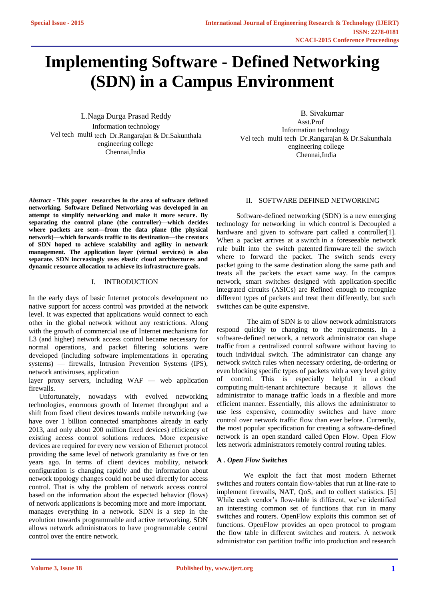# **Implementing Software - Defined Networking (SDN) in a Campus Environment**

L.Naga Durga Prasad Reddy Information technology Information technology<br>Vel tech multi tech Dr.Rangarajan & Dr.Sakunthala<br>*Vel tech multi tech Dr.Rangarajan &* Dr.Sakunthala engineering college Chennai,India

*Abstract* **- This paper researches in the area of software defined networking. Software Defined Networking was developed in an attempt to simplify networking and make it more secure. By separating the control plane (the controller)—which decides where packets are sent—from the data plane (the physical network)—which forwards traffic to its destination—the creators of SDN hoped to achieve scalability and agility in network management. The application layer (virtual services) is also separate. SDN increasingly uses elastic cloud architectures and dynamic resource allocation to achieve its infrastructure goals.**

#### I. INTRODUCTION

In the early days of basic Internet protocols development no native support for access control was provided at the network level. It was expected that applications would connect to each other in the global network without any restrictions. Along with the growth of commercial use of Internet mechanisms for L3 (and higher) network access control became necessary for normal operations, and packet filtering solutions were developed (including software implementations in operating systems) — firewalls, Intrusion Prevention Systems (IPS), network antiviruses, application

layer proxy servers, including WAF — web application firewalls.

Unfortunately, nowadays with evolved networking technologies, enormous growth of Internet throughput and a shift from fixed client devices towards mobile networking (we have over 1 billion connected smartphones already in early 2013, and only about 200 million fixed devices) efficiency of existing access control solutions reduces. More expensive devices are required for every new version of Ethernet protocol providing the same level of network granularity as five or ten years ago. In terms of client devices mobility, network configuration is changing rapidly and the information about network topology changes could not be used directly for access control. That is why the problem of network access control based on the information about the expected behavior (flows) of network applications is becoming more and more important. manages everything in a network. SDN is a step in the evolution towards programmable and active networking. SDN allows network administrators to have programmable central control over the entire network.

 B. Sivakumar Asst.Prof Vel tech multi tech Dr.Rangarajan & Dr.Sakunthala engineering college Chennai,India

## II. SOFTWARE DEFINED NETWORKING

 Software-defined networking (SDN) is a new emerging technology for networking in which control is Decoupled a hardware and given to software part called a controller[1]. When a packet arrives at a switch in a foreseeable network rule built into the switch patented firmware tell the switch where to forward the packet. The switch sends every packet going to the same destination along the same path and treats all the packets the exact same way. In the campus network, smart switches designed with application-specific integrated circuits (ASICs) are Refined enough to recognize different types of packets and treat them differently, but such switches can be quite expensive.

 The aim of SDN is to allow network administrators respond quickly to changing to the requirements. In a software-defined network, a network administrator can shape traffic from a centralized control software without having to touch individual switch. The administrator can change any network switch rules when necessary ordering, de-ordering or even blocking specific types of packets with a very level gritty of control. This is especially helpful in a cloud computing multi-tenant architecture because it allows the administrator to manage traffic loads in a flexible and more efficient manner. Essentially, this allows the administrator to use less expensive, commodity switches and have more control over network traffic flow than ever before. Currently, the most popular specification for creating a software-defined network is an open standard called Open Flow. Open Flow lets network administrators remotely control routing tables.

# **A** *. Open Flow Switches*

We exploit the fact that most modern Ethernet switches and routers contain flow-tables that run at line-rate to implement firewalls, NAT, QoS, and to collect statistics. [5] While each vendor's flow-table is different, we've identified an interesting common set of functions that run in many switches and routers. OpenFlow exploits this common set of functions. OpenFlow provides an open protocol to program the flow table in different switches and routers. A network administrator can partition traffic into production and research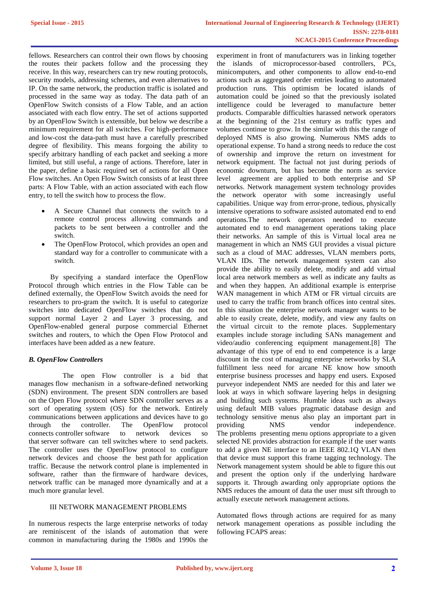fellows. Researchers can control their own flows by choosing the routes their packets follow and the processing they receive. In this way, researchers can try new routing protocols, security models, addressing schemes, and even alternatives to IP. On the same network, the production traffic is isolated and processed in the same way as today. The data path of an OpenFlow Switch consists of a Flow Table, and an action associated with each flow entry. The set of actions supported by an OpenFlow Switch is extensible, but below we describe a minimum requirement for all switches. For high-performance and low-cost the data-path must have a carefully prescribed degree of flexibility. This means forgoing the ability to specify arbitrary handling of each packet and seeking a more limited, but still useful, a range of actions. Therefore, later in the paper, define a basic required set of actions for all Open Flow switches. An Open Flow Switch consists of at least three parts: A Flow Table, with an action associated with each flow entry, to tell the switch how to process the flow.

- A Secure Channel that connects the switch to a remote control process allowing commands and packets to be sent between a controller and the switch.
- The OpenFlow Protocol, which provides an open and standard way for a controller to communicate with a switch.

 By specifying a standard interface the OpenFlow Protocol through which entries in the Flow Table can be defined externally, the OpenFlow Switch avoids the need for researchers to pro-gram the switch. It is useful to categorize switches into dedicated OpenFlow switches that do not support normal Layer 2 and Layer 3 processing, and OpenFlow-enabled general purpose commercial Ethernet switches and routers, to which the Open Flow Protocol and interfaces have been added as a new feature.

# *B. OpenFlow Controllers*

The open Flow controller is a bid that manages flow mechanism in a software-defined networking (SDN) environment. The present SDN controllers are based on the Open Flow protocol where SDN controller serves as a sort of operating system (OS) for the network. Entirely communications between applications and devices have to go through the controller. The OpenFlow protocol connects controller software to network devices so connects controller software to network devices so that server software can tell switches where to send packets. The controller uses the OpenFlow protocol to configure network devices and choose the best path for application traffic. Because the network control plane is implemented in software, rather than the firmware of hardware devices, network traffic can be managed more dynamically and at a much more granular level.

# III NETWORK MANAGEMENT PROBLEMS

In numerous respects the large enterprise networks of today are reminiscent of the islands of automation that were common in manufacturing during the 1980s and 1990s the

experiment in front of manufacturers was in linking together the islands of microprocessor-based controllers, PCs, minicomputers, and other components to allow end-to-end actions such as aggregated order entries leading to automated production runs. This optimism be located islands of automation could be joined so that the previously isolated intelligence could be leveraged to manufacture better products. Comparable difficulties harassed network operators at the beginning of the 21st century as traffic types and volumes continue to grow. In the similar with this the range of deployed NMS is also growing. Numerous NMS adds to operational expense. To hand a strong needs to reduce the cost of ownership and improve the return on investment for network equipment. The factual not just during periods of economic downturn, but has become the norm as service level agreement are applied to both enterprise and SP networks. Network management system technology provides the network operator with some increasingly useful capabilities. Unique way from error-prone, tedious, physically intensive operations to software assisted automated end to end operations.The network operators needed to execute automated end to end management operations taking place their networks. An sample of this is Virtual local area ne management in which an NMS GUI provides a visual picture such as a cloud of MAC addresses, VLAN members ports, VLAN IDs. The network management system can also provide the ability to easily delete, modify and add virtual local area network members as well as indicate any faults as and when they happen. An additional example is enterprise WAN management in which ATM or FR virtual circuits are used to carry the traffic from branch offices into central sites. In this situation the enterprise network manager wants to be able to easily create, delete, modify, and view any faults on the virtual circuit to the remote places. Supplementary examples include storage including SANs management and video/audio conferencing equipment management.[8] The advantage of this type of end to end competence is a large discount in the cost of managing enterprise networks by SLA fulfillment less need for arcane NE know how smooth enterprise business processes and happy end users. Exposed purveyor independent NMS are needed for this and later we look at ways in which software layering helps in designing and building such systems. Humble ideas such as always using default MIB values pragmatic database design and technology sensitive menus also play an important part in providing NMS vendor independence. The problems presenting menu options appropriate to a given selected NE provides abstraction for example if the user wants to add a given NE interface to an IEEE 802.1Q VLAN then that device must support this frame tagging technology. The Network management system should be able to figure this out and present the option only if the underlying hardware supports it. Through awarding only appropriate options the NMS reduces the amount of data the user must sift through to actually execute network management actions.

Automated flows through actions are required for as many network management operations as possible including the following FCAPS areas: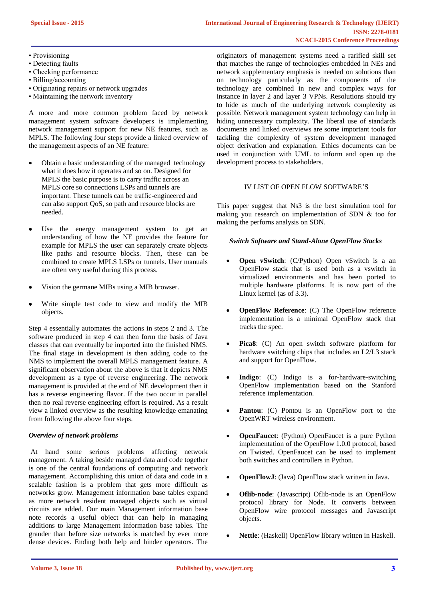- Provisioning
- Detecting faults
- Checking performance
- Billing/accounting
- Originating repairs or network upgrades
- Maintaining the network inventory

A more and more common problem faced by network management system software developers is implementing network management support for new NE features, such as MPLS. The following four steps provide a linked overview of the management aspects of an NE feature:

- Obtain a basic understanding of the managed technology what it does how it operates and so on. Designed for MPLS the basic purpose is to carry traffic across an MPLS core so connections LSPs and tunnels are important. These tunnels can be traffic-engineered and can also support QoS, so path and resource blocks are needed.
- Use the energy management system to get an understanding of how the NE provides the feature for example for MPLS the user can separately create objects like paths and resource blocks. Then, these can be combined to create MPLS LSPs or tunnels. User manuals are often very useful during this process.
- Vision the germane MIBs using a MIB browser.
- Write simple test code to view and modify the MIB objects.

Step 4 essentially automates the actions in steps 2 and 3. The software produced in step 4 can then form the basis of Java classes that can eventually be imported into the finished NMS. The final stage in development is then adding code to the NMS to implement the overall MPLS management feature. A significant observation about the above is that it depicts NMS development as a type of reverse engineering. The network management is provided at the end of NE development then it has a reverse engineering flavor. If the two occur in parallel then no real reverse engineering effort is required. As a result view a linked overview as the resulting knowledge emanating from following the above four steps.

# *Overview of network problems*

At hand some serious problems affecting network management. A taking beside managed data and code together is one of the central foundations of computing and network management. Accomplishing this union of data and code in a scalable fashion is a problem that gets more difficult as networks grow. Management information base tables expand as more network resident managed objects such as virtual circuits are added. Our main Management information base note records a useful object that can help in managing additions to large Management information base tables. The grander than before size networks is matched by ever more dense devices. Ending both help and hinder operators. The originators of management systems need a rarified skill set that matches the range of technologies embedded in NEs and network supplementary emphasis is needed on solutions than on technology particularly as the components of the technology are combined in new and complex ways for instance in layer 2 and layer 3 VPNs. Resolutions should try to hide as much of the underlying network complexity as possible. Network management system technology can help in hiding unnecessary complexity. The liberal use of standards documents and linked overviews are some important tools for tackling the complexity of system development managed object derivation and explanation. Ethics documents can be used in conjunction with UML to inform and open up the development process to stakeholders.

# IV LIST OF OPEN FLOW SOFTWARE'S

This paper suggest that Ns3 is the best simulation tool for making you research on implementation of SDN & too for making the perforns analysis on SDN.

# *Switch Software and Stand-Alone OpenFlow Stacks*

- **Open vSwitch**: (C/Python) Open vSwitch is a an OpenFlow stack that is used both as a vswitch in virtualized environments and has been ported to multiple hardware platforms. It is now part of the Linux kernel (as of 3.3).
- **OpenFlow Reference:** (C) The OpenFlow reference implementation is a minimal OpenFlow stack that tracks the spec.
- **Pica8**: (C) An open switch software platform for hardware switching chips that includes an L2/L3 stack and support for OpenFlow.
- **Indigo**: (C) Indigo is a for-hardware-switching OpenFlow implementation based on the Stanford reference implementation.
- **Pantou**: (C) Pontou is an OpenFlow port to the OpenWRT wireless environment.
- **OpenFaucet**: (Python) OpenFaucet is a pure Python implementation of the OpenFlow 1.0.0 protocol, based on Twisted. OpenFaucet can be used to implement both switches and controllers in Python.
- **OpenFlowJ**: (Java) OpenFlow stack written in Java.
- **Oflib-node**: (Javascript) Oflib-node is an OpenFlow protocol library for Node. It converts between OpenFlow wire protocol messages and Javascript objects.
- **Nettle**: (Haskell) OpenFlow library written in Haskell.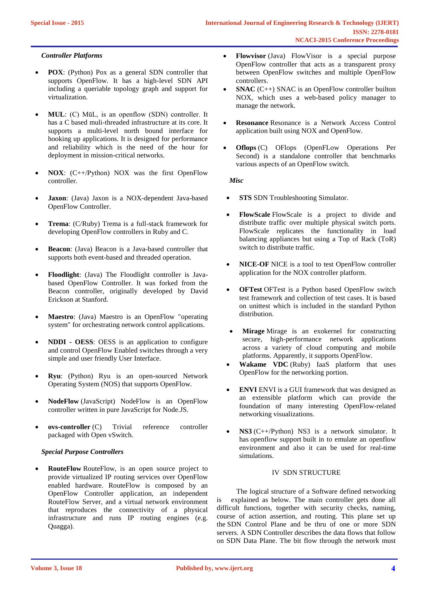# *Controller Platforms*

- **POX**: (Python) Pox as a general SDN controller that supports OpenFlow. It has a high-level SDN API including a queriable topology graph and support for virtualization.
- **MUL**: (C) MūL, is an openflow (SDN) controller. It has a C based muli-threaded infrastructure at its core. It supports a multi-level north bound interface for hooking up applications. It is designed for performance and reliability which is the need of the hour for deployment in mission-critical networks.
- **NOX**: (C++/Python) NOX was the first OpenFlow controller.
- **Jaxon**: (Java) Jaxon is a NOX-dependent Java-based OpenFlow Controller.
- **Trema**: (C/Ruby) Trema is a full-stack framework for developing OpenFlow controllers in Ruby and C.
- **Beacon**: (Java) Beacon is a Java-based controller that supports both event-based and threaded operation.
- **Floodlight**: (Java) The Floodlight controller is Javabased OpenFlow Controller. It was forked from the Beacon controller, originally developed by David Erickson at Stanford.
- **Maestro**: (Java) Maestro is an OpenFlow "operating system" for orchestrating network control applications.
- **NDDI - OESS**: OESS is an application to configure and control OpenFlow Enabled switches through a very simple and user friendly User Interface.
- **Ryu**: (Python) Ryu is an open-sourced Network Operating System (NOS) that supports OpenFlow.
- **NodeFlow** (JavaScript) NodeFlow is an OpenFlow controller written in pure JavaScript for Node.JS.
- **ovs-controller** (C) Trivial reference controller packaged with Open vSwitch.

# *Special Purpose Controllers*

 **RouteFlow** RouteFlow, is an open source project to provide virtualized IP routing services over OpenFlow enabled hardware. RouteFlow is composed by an OpenFlow Controller application, an independent RouteFlow Server, and a virtual network environment that reproduces the connectivity of a physical infrastructure and runs IP routing engines (e.g. Quagga).

- **Flowvisor** (Java) FlowVisor is a special purpose OpenFlow controller that acts as a transparent proxy between OpenFlow switches and multiple OpenFlow controllers.
- **SNAC** (C++) SNAC is an OpenFlow controller builton NOX, which uses a web-based policy manager to manage the network.
- **Resonance** Resonance is a Network Access Control application built using NOX and OpenFlow.
- **Oflops** (C) OFlops (OpenFLow Operations Per Second) is a standalone controller that benchmarks various aspects of an OpenFlow switch.

# *Misc*

- **STS** SDN Troubleshooting Simulator.
- **FlowScale** FlowScale is a project to divide and distribute traffic over multiple physical switch ports. FlowScale replicates the functionality in load balancing appliances but using a Top of Rack (ToR) switch to distribute traffic.
- **NICE-OF** NICE is a tool to test OpenFlow controller application for the NOX controller platform.
- **OFTest** OFTest is a Python based OpenFlow switch test framework and collection of test cases. It is based on unittest which is included in the standard Python distribution.
- **Mirage** Mirage is an exokernel for constructing secure, high-performance network applications across a variety of cloud computing and mobile platforms. Apparently, it supports OpenFlow.
- **Wakame VDC** (Ruby) IaaS platform that uses OpenFlow for the networking portion.
- **ENVI** ENVI is a GUI framework that was designed as an extensible platform which can provide the foundation of many interesting OpenFlow-related networking visualizations.
- **NS3** (C++/Python) NS3 is a network simulator. It has openflow support built in to emulate an openflow environment and also it can be used for real-time simulations.

# IV SDN STRUCTURE

 The logical structure of a Software defined networking is explained as below. The main controller gets done all difficult functions, together with security checks, naming, course of action assertion, and routing. This plane set up the SDN Control Plane and be thru of one or more SDN servers. A SDN Controller describes the data flows that follow on SDN Data Plane. The bit flow through the network must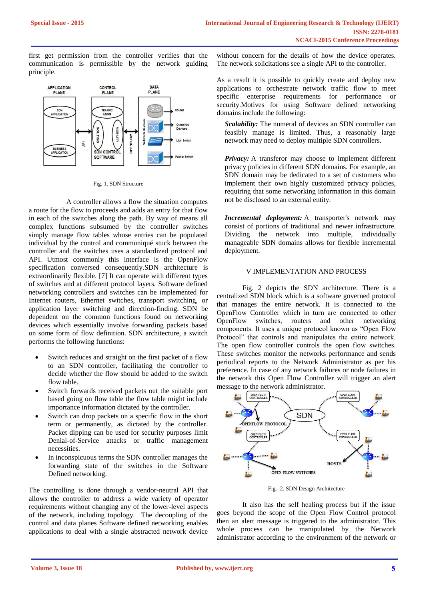first get permission from the controller verifies that the communication is permissible by the network guiding principle.



Fig. 1. SDN Structure

 A controller allows a flow the situation computes a route for the flow to proceeds and adds an entry for that flow in each of the switches along the path. By way of means all complex functions subsumed by the controller switches simply manage flow tables whose entries can be populated individual by the control and communiqué stuck between the controller and the switches uses a standardized protocol and API. Utmost commonly this interface is the OpenFlow specification conversed consequently.SDN architecture is extraordinarily flexible. [7] It can operate with different types of switches and at different protocol layers. Software defined networking controllers and switches can be implemented for Internet routers, Ethernet switches, transport switching, or application layer switching and direction-finding. SDN be dependent on the common functions found on networking devices which essentially involve forwarding packets based on some form of flow definition. SDN architecture, a switch performs the following functions:

- Switch reduces and straight on the first packet of a flow to an SDN controller, facilitating the controller to decide whether the flow should be added to the switch flow table.
- Switch forwards received packets out the suitable port based going on flow table the flow table might include importance information dictated by the controller.
- Switch can drop packets on a specific flow in the short term or permanently, as dictated by the controller. Packet dipping can be used for security purposes limit Denial-of-Service attacks or traffic management necessities.
- In inconspicuous terms the SDN controller manages the forwarding state of the switches in the Software Defined networking.

The controlling is done through a vendor-neutral API that allows the controller to address a wide variety of operator requirements without changing any of the lower-level aspects of the network, including topology. The decoupling of the control and data planes Software defined networking enables applications to deal with a single abstracted network device

without concern for the details of how the device operates. The network solicitations see a single API to the controller.

As a result it is possible to quickly create and deploy new applications to orchestrate network traffic flow to meet specific enterprise requirements for performance or security.Motives for using Software defined networking domains include the following:

*Scalability:* The numeral of devices an SDN controller can feasibly manage is limited. Thus, a reasonably large network may need to deploy multiple SDN controllers.

*Privacy:* A transferor may choose to implement different privacy policies in different SDN domains. For example, an SDN domain may be dedicated to a set of customers who implement their own highly customized privacy policies, requiring that some networking information in this domain not be disclosed to an external entity.

*Incremental deployment:* A transporter's network may consist of portions of traditional and newer infrastructure. Dividing the network into multiple, individually manageable SDN domains allows for flexible incremental deployment.

### V IMPLEMENTATION AND PROCESS

Fig. 2 depicts the SDN architecture. There is a centralized SDN block which is a software governed protocol that manages the entire network. It is connected to the OpenFlow Controller which in turn are connected to other OpenFlow switches, routers and other networking components. It uses a unique protocol known as "Open Flow Protocol" that controls and manipulates the entire network. The open flow controller controls the open flow switches. These switches monitor the networks performance and sends periodical reports to the Network Administrator as per his preference. In case of any network failures or node failures in the network this Open Flow Controller will trigger an alert message to the network administrator.



Fig. 2. SDN Design Architecture

It also has the self healing process but if the issue goes beyond the scope of the Open Flow Control protocol then an alert message is triggered to the administrator. This whole process can be manipulated by the Network administrator according to the environment of the network or